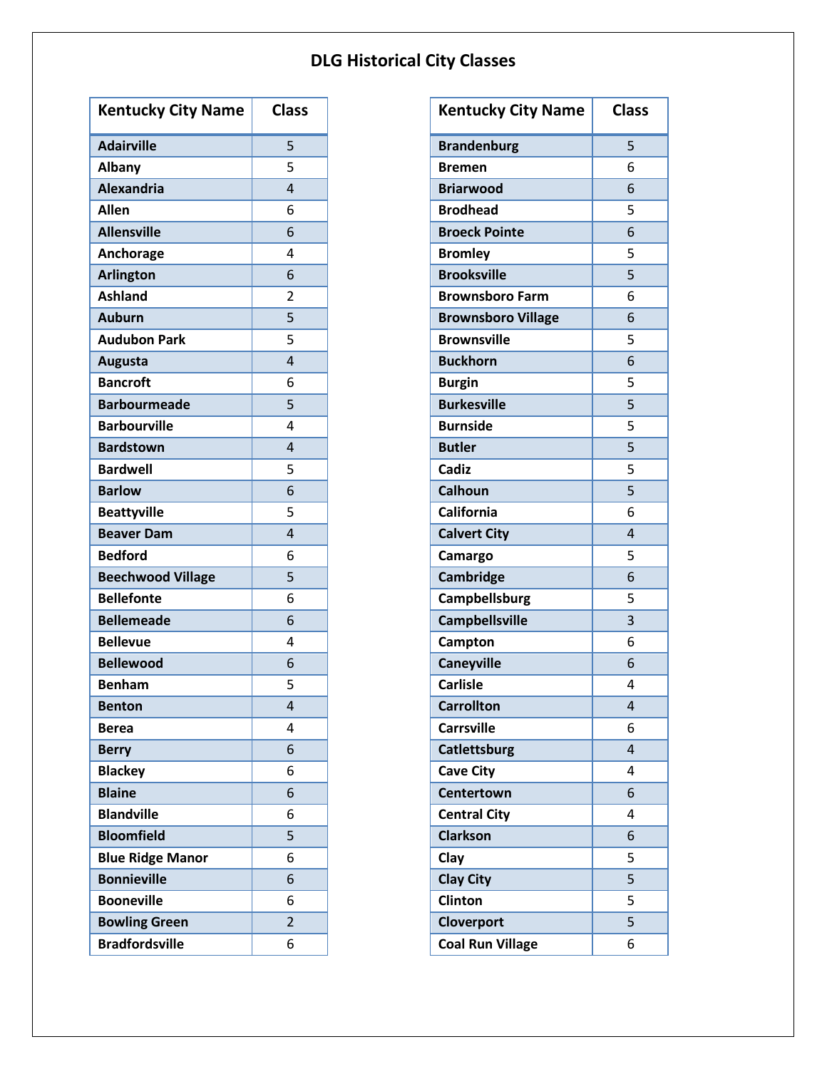| <b>Kentucky City Name</b> | <b>Class</b>   |
|---------------------------|----------------|
| <b>Adairville</b>         | 5              |
| <b>Albany</b>             | 5              |
| <b>Alexandria</b>         | 4              |
| <b>Allen</b>              | 6              |
| <b>Allensville</b>        | 6              |
| Anchorage                 | 4              |
| <b>Arlington</b>          | 6              |
| <b>Ashland</b>            | 2              |
| <b>Auburn</b>             | $\overline{5}$ |
| <b>Audubon Park</b>       | 5              |
| <b>Augusta</b>            | 4              |
| <b>Bancroft</b>           | 6              |
| <b>Barbourmeade</b>       | 5              |
| <b>Barbourville</b>       | 4              |
| <b>Bardstown</b>          | 4              |
| <b>Bardwell</b>           | 5              |
| <b>Barlow</b>             | 6              |
| <b>Beattyville</b>        | 5              |
| <b>Beaver Dam</b>         | 4              |
| <b>Bedford</b>            | 6              |
| <b>Beechwood Village</b>  | 5              |
| <b>Bellefonte</b>         | 6              |
| <b>Bellemeade</b>         | 6              |
| <b>Bellevue</b>           | 4              |
| <b>Bellewood</b>          | 6              |
| <b>Benham</b>             | 5              |
| <b>Benton</b>             | 4              |
| <b>Berea</b>              | 4              |
| <b>Berry</b>              | 6              |
| <b>Blackey</b>            | 6              |
| <b>Blaine</b>             | 6              |
| <b>Blandville</b>         | 6              |
| <b>Bloomfield</b>         | 5              |
| <b>Blue Ridge Manor</b>   | 6              |
| <b>Bonnieville</b>        | 6              |
| <b>Booneville</b>         | 6              |
| <b>Bowling Green</b>      | 2              |
| <b>Bradfordsville</b>     | 6              |

| <b>Kentucky City Name</b> | <b>Class</b> |
|---------------------------|--------------|
| <b>Brandenburg</b>        | 5            |
| Bremen                    | 6            |
| <b>Briarwood</b>          | 6            |
| <b>Brodhead</b>           | 5            |
| <b>Broeck Pointe</b>      | 6            |
| <b>Bromley</b>            | 5            |
| <b>Brooksville</b>        | 5            |
| <b>Brownsboro Farm</b>    | 6            |
| <b>Brownsboro Village</b> | 6            |
| <b>Brownsville</b>        | 5            |
| <b>Buckhorn</b>           | 6            |
| <b>Burgin</b>             | 5            |
| <b>Burkesville</b>        | 5            |
| <b>Burnside</b>           | 5            |
| <b>Butler</b>             | 5            |
| Cadiz                     | 5            |
| Calhoun                   | 5            |
| <b>California</b>         | 6            |
| <b>Calvert City</b>       | 4            |
| Camargo                   | 5            |
| Cambridge                 | 6            |
| Campbellsburg             | 5            |
| Campbellsville            | 3            |
| Campton                   | 6            |
| Caneyville                | 6            |
| <b>Carlisle</b>           | 4            |
| <b>Carrollton</b>         | 4            |
| <b>Carrsville</b>         | 6            |
| Catlettsburg              | 4            |
| <b>Cave City</b>          | 4            |
| Centertown                | 6            |
| <b>Central City</b>       | 4            |
| <b>Clarkson</b>           | 6            |
| Clay                      | 5            |
| <b>Clay City</b>          | 5            |
| Clinton                   | 5            |
| Cloverport                | 5            |
| <b>Coal Run Village</b>   | 6            |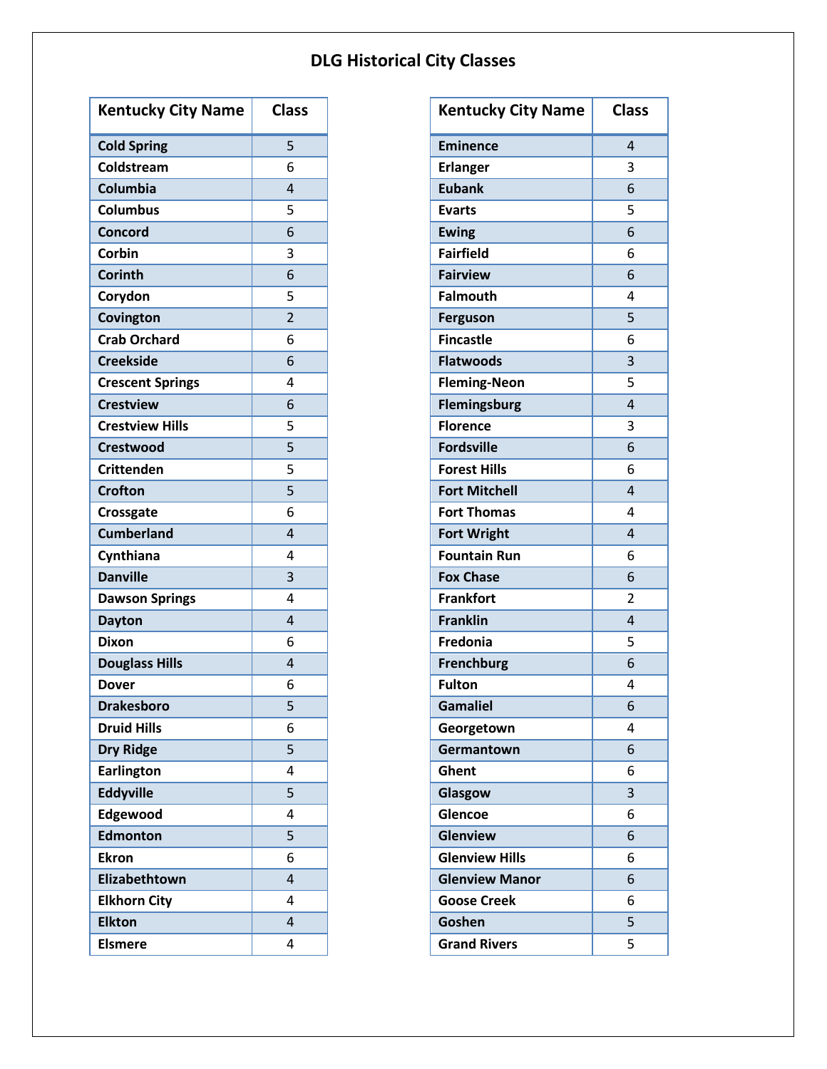| <b>Kentucky City Name</b> | <b>Class</b>   |
|---------------------------|----------------|
| <b>Cold Spring</b>        | 5              |
| Coldstream                | 6              |
| Columbia                  | 4              |
| <b>Columbus</b>           | 5              |
| Concord                   | 6              |
| Corbin                    | 3              |
| Corinth                   | 6              |
| Corydon                   | 5              |
| Covington                 | $\overline{2}$ |
| <b>Crab Orchard</b>       | 6              |
| <b>Creekside</b>          | 6              |
| <b>Crescent Springs</b>   | 4              |
| <b>Crestview</b>          | 6              |
| <b>Crestview Hills</b>    | 5              |
| <b>Crestwood</b>          | 5              |
| <b>Crittenden</b>         | 5              |
| <b>Crofton</b>            | 5              |
| Crossgate                 | 6              |
| <b>Cumberland</b>         | 4              |
| Cynthiana                 | 4              |
| <b>Danville</b>           | 3              |
| <b>Dawson Springs</b>     | 4              |
| <b>Dayton</b>             | $\overline{4}$ |
| <b>Dixon</b>              | 6              |
| <b>Douglass Hills</b>     | 4              |
| Dover                     | 6              |
| <b>Drakesboro</b>         | 5              |
| <b>Druid Hills</b>        | 6              |
| <b>Dry Ridge</b>          | 5              |
| <b>Earlington</b>         | 4              |
| <b>Eddyville</b>          | 5              |
| Edgewood                  | 4              |
| <b>Edmonton</b>           | 5              |
| <b>Ekron</b>              | 6              |
| Elizabethtown             | 4              |
| <b>Elkhorn City</b>       | 4              |
| <b>Elkton</b>             | 4              |
| <b>Elsmere</b>            | 4              |

| <b>Kentucky City Name</b> | <b>Class</b>   |
|---------------------------|----------------|
| Eminence                  | 4              |
| <b>Erlanger</b>           | 3              |
| <b>Eubank</b>             | 6              |
| <b>Evarts</b>             | 5              |
| <b>Ewing</b>              | 6              |
| <b>Fairfield</b>          | 6              |
| <b>Fairview</b>           | 6              |
| <b>Falmouth</b>           | 4              |
| Ferguson                  | 5              |
| <b>Fincastle</b>          | 6              |
| <b>Flatwoods</b>          | 3              |
| <b>Fleming-Neon</b>       | 5              |
| <b>Flemingsburg</b>       | 4              |
| <b>Florence</b>           | 3              |
| <b>Fordsville</b>         | 6              |
| <b>Forest Hills</b>       | 6              |
| <b>Fort Mitchell</b>      | 4              |
| <b>Fort Thomas</b>        | 4              |
| <b>Fort Wright</b>        | 4              |
| <b>Fountain Run</b>       | 6              |
| <b>Fox Chase</b>          | 6              |
| <b>Frankfort</b>          | $\overline{2}$ |
| <b>Franklin</b>           | 4              |
| <b>Fredonia</b>           | 5              |
| <b>Frenchburg</b>         | 6              |
| <b>Fulton</b>             | 4              |
| <b>Gamaliel</b>           | 6              |
| Georgetown                | 4              |
| Germantown                | 6              |
| Ghent                     | 6              |
| Glasgow                   | 3              |
| Glencoe                   | 6              |
| <b>Glenview</b>           | 6              |
| <b>Glenview Hills</b>     | 6              |
| <b>Glenview Manor</b>     | 6              |
| <b>Goose Creek</b>        | 6              |
| Goshen                    | 5              |
| <b>Grand Rivers</b>       | 5              |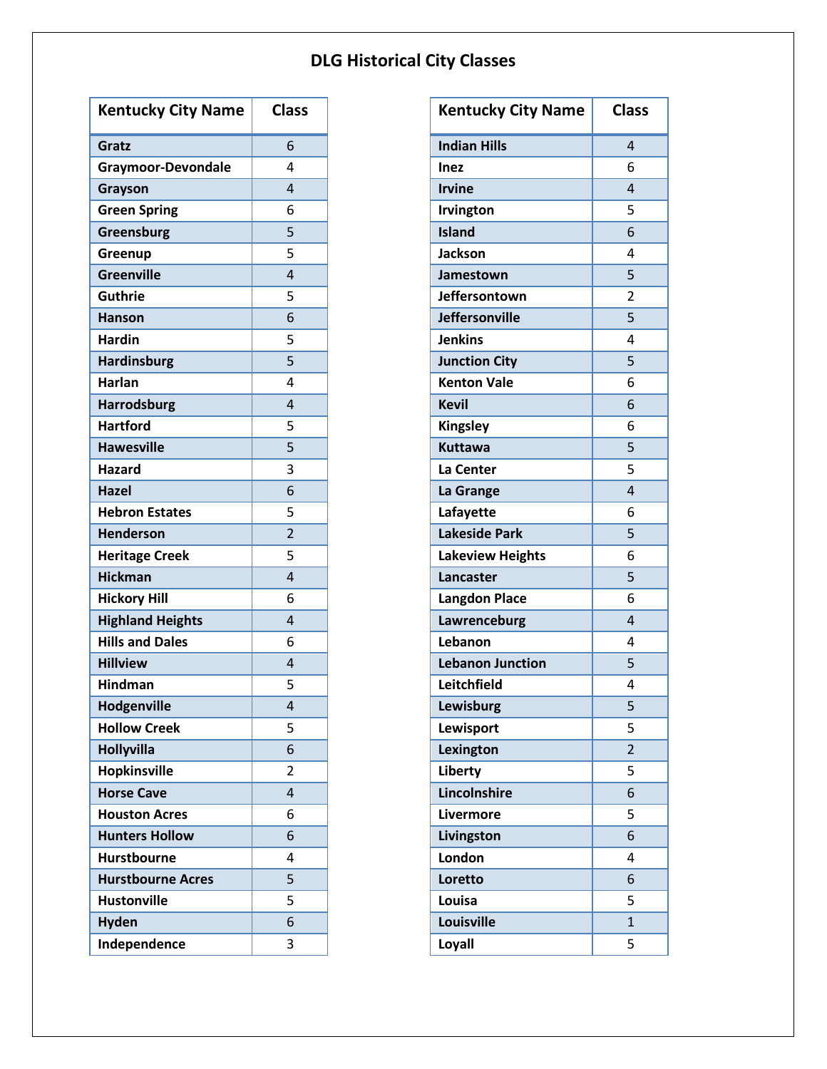| <b>Kentucky City Name</b> | <b>Class</b>   |
|---------------------------|----------------|
| Gratz                     | 6              |
| <b>Graymoor-Devondale</b> | 4              |
| Grayson                   | 4              |
| <b>Green Spring</b>       | 6              |
| Greensburg                | 5              |
| Greenup                   | 5              |
| <b>Greenville</b>         | 4              |
| Guthrie                   | 5              |
| <b>Hanson</b>             | 6              |
| <b>Hardin</b>             | 5              |
| Hardinsburg               | 5              |
| <b>Harlan</b>             | 4              |
| <b>Harrodsburg</b>        | 4              |
| <b>Hartford</b>           | 5              |
| <b>Hawesville</b>         | 5              |
| <b>Hazard</b>             | 3              |
| <b>Hazel</b>              | 6              |
| <b>Hebron Estates</b>     | 5              |
| <b>Henderson</b>          | $\overline{2}$ |
| <b>Heritage Creek</b>     | 5              |
| <b>Hickman</b>            | 4              |
| <b>Hickory Hill</b>       | 6              |
| <b>Highland Heights</b>   | 4              |
| <b>Hills and Dales</b>    | 6              |
| <b>Hillview</b>           | 4              |
| <b>Hindman</b>            | 5              |
| Hodgenville               | 4              |
| <b>Hollow Creek</b>       | 5              |
| <b>Hollyvilla</b>         | 6              |
| Hopkinsville              | 2              |
| <b>Horse Cave</b>         | 4              |
| <b>Houston Acres</b>      | 6              |
| <b>Hunters Hollow</b>     | 6              |
| <b>Hurstbourne</b>        | 4              |
| <b>Hurstbourne Acres</b>  | 5              |
| <b>Hustonville</b>        | 5              |
| <b>Hyden</b>              | 6              |
| Independence              | 3              |

| <b>Kentucky City Name</b> | <b>Class</b>   |
|---------------------------|----------------|
| <b>Indian Hills</b>       | 4              |
| Inez                      | 6              |
| <b>Irvine</b>             | 4              |
| Irvington                 | 5              |
| <b>Island</b>             | 6              |
| <b>Jackson</b>            | 4              |
| Jamestown                 | 5              |
| Jeffersontown             | $\overline{c}$ |
| <b>Jeffersonville</b>     | $\overline{5}$ |
| <b>Jenkins</b>            | 4              |
| <b>Junction City</b>      | 5              |
| <b>Kenton Vale</b>        | 6              |
| <b>Kevil</b>              | 6              |
| <b>Kingsley</b>           | 6              |
| <b>Kuttawa</b>            | 5              |
| La Center                 | 5              |
| La Grange                 | 4              |
| Lafayette                 | 6              |
| <b>Lakeside Park</b>      | 5              |
| <b>Lakeview Heights</b>   | 6              |
| Lancaster                 | 5              |
| <b>Langdon Place</b>      | 6              |
| Lawrenceburg              | 4              |
| Lebanon                   | 4              |
| <b>Lebanon Junction</b>   | 5              |
| Leitchfield               | 4              |
| Lewisburg                 | 5              |
| Lewisport                 | 5              |
| Lexington                 | $\overline{c}$ |
| Liberty                   | 5              |
| Lincolnshire              | 6              |
| Livermore                 | 5              |
| Livingston                | 6              |
| London                    | 4              |
| Loretto                   | 6              |
| Louisa                    | 5              |
| Louisville                | $\overline{1}$ |
| Loyall                    | 5              |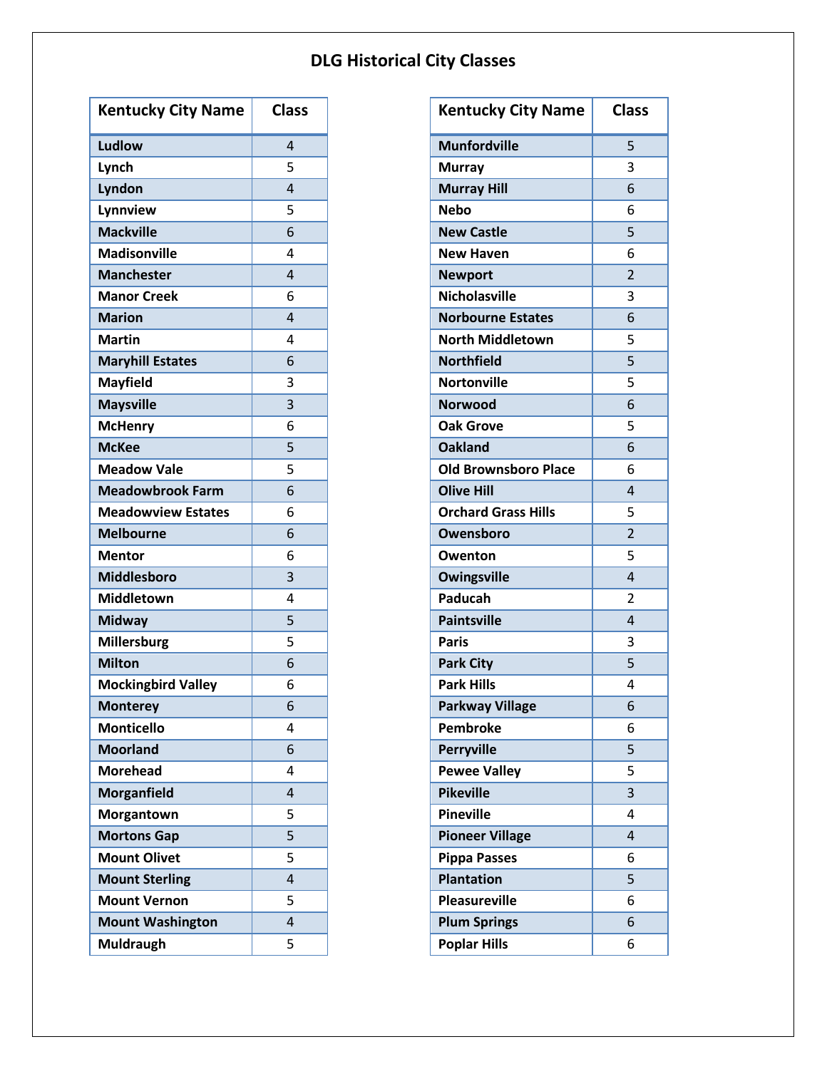| <b>Kentucky City Name</b> | <b>Class</b> |
|---------------------------|--------------|
| Ludlow                    | 4            |
| Lynch                     | 5            |
| Lyndon                    | 4            |
| Lynnview                  | 5            |
| <b>Mackville</b>          | 6            |
| <b>Madisonville</b>       | 4            |
| <b>Manchester</b>         | 4            |
| <b>Manor Creek</b>        | 6            |
| <b>Marion</b>             | 4            |
| <b>Martin</b>             | 4            |
| <b>Maryhill Estates</b>   | 6            |
| <b>Mayfield</b>           | 3            |
| <b>Maysville</b>          | 3            |
| <b>McHenry</b>            | 6            |
| <b>McKee</b>              | 5            |
| <b>Meadow Vale</b>        | 5            |
| <b>Meadowbrook Farm</b>   | 6            |
| <b>Meadowview Estates</b> | 6            |
| <b>Melbourne</b>          | 6            |
| <b>Mentor</b>             | 6            |
| <b>Middlesboro</b>        | 3            |
| <b>Middletown</b>         | 4            |
| <b>Midway</b>             | 5            |
| Millersburg               | 5            |
| <b>Milton</b>             | 6            |
| <b>Mockingbird Valley</b> | 6            |
| <b>Monterey</b>           | 6            |
| <b>Monticello</b>         | 4            |
| <b>Moorland</b>           | 6            |
| <b>Morehead</b>           | 4            |
| <b>Morganfield</b>        | 4            |
| Morgantown                | 5            |
| <b>Mortons Gap</b>        | 5            |
| <b>Mount Olivet</b>       | 5            |
| <b>Mount Sterling</b>     | 4            |
| <b>Mount Vernon</b>       | 5            |
| <b>Mount Washington</b>   | 4            |
| <b>Muldraugh</b>          | 5            |

| <b>Kentucky City Name</b>   | <b>Class</b>   |
|-----------------------------|----------------|
| <b>Munfordville</b>         | 5              |
| <b>Murray</b>               | 3              |
| <b>Murray Hill</b>          | 6              |
| <b>Nebo</b>                 | 6              |
| <b>New Castle</b>           | 5              |
| <b>New Haven</b>            | 6              |
| <b>Newport</b>              | $\overline{2}$ |
| <b>Nicholasville</b>        | 3              |
| <b>Norbourne Estates</b>    | 6              |
| <b>North Middletown</b>     | 5              |
| <b>Northfield</b>           | 5              |
| <b>Nortonville</b>          | 5              |
| <b>Norwood</b>              | 6              |
| <b>Oak Grove</b>            | 5              |
| <b>Oakland</b>              | 6              |
| <b>Old Brownsboro Place</b> | 6              |
| <b>Olive Hill</b>           | 4              |
| <b>Orchard Grass Hills</b>  | 5              |
| Owensboro                   | $\overline{2}$ |
| Owenton                     | 5              |
| <b>Owingsville</b>          | 4              |
| <b>Paducah</b>              | 2              |
| <b>Paintsville</b>          | 4              |
| <b>Paris</b>                | 3              |
| <b>Park City</b>            | 5              |
| <b>Park Hills</b>           | 4              |
| <b>Parkway Village</b>      | 6              |
| Pembroke                    | 6              |
| <b>Perryville</b>           | 5              |
| <b>Pewee Valley</b>         | 5              |
| <b>Pikeville</b>            | 3              |
| <b>Pineville</b>            | 4              |
| <b>Pioneer Village</b>      | 4              |
| <b>Pippa Passes</b>         | 6              |
| <b>Plantation</b>           | 5              |
| <b>Pleasureville</b>        | 6              |
| <b>Plum Springs</b>         | 6              |
| <b>Poplar Hills</b>         | 6              |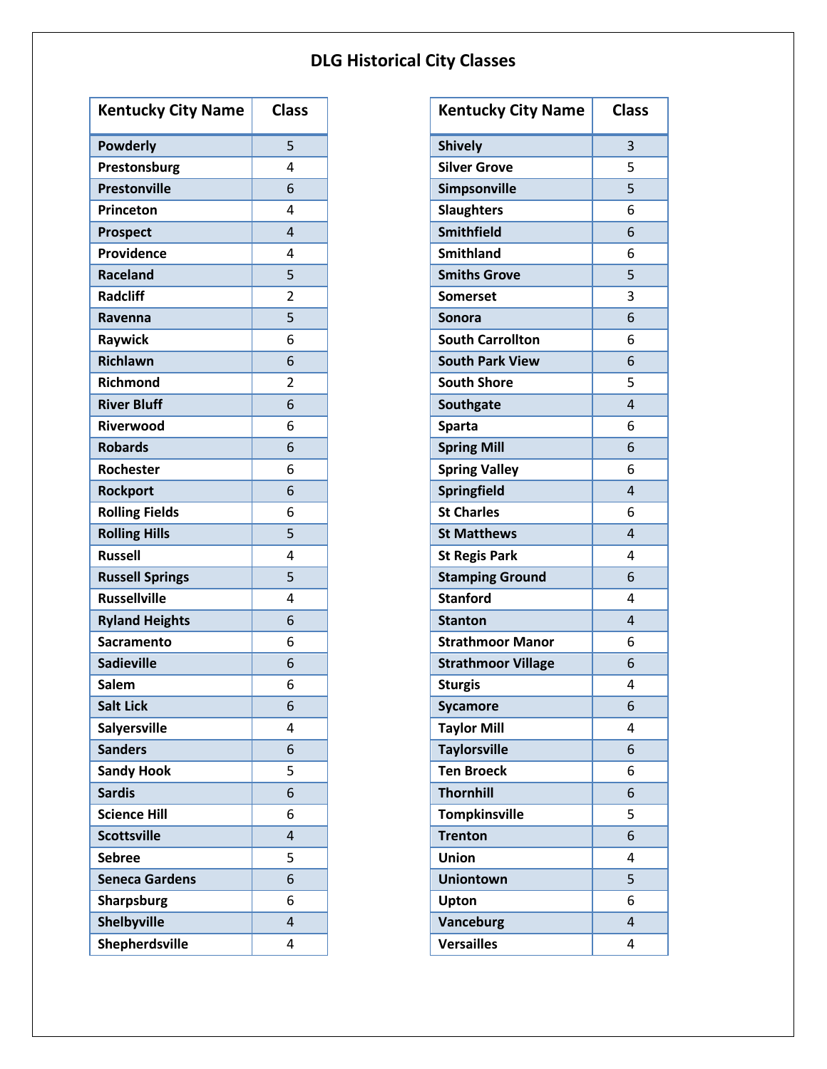| <b>Kentucky City Name</b> | <b>Class</b>   |
|---------------------------|----------------|
| <b>Powderly</b>           | 5              |
| Prestonsburg              | 4              |
| <b>Prestonville</b>       | 6              |
| Princeton                 | 4              |
| <b>Prospect</b>           | 4              |
| Providence                | 4              |
| <b>Raceland</b>           | 5              |
| <b>Radcliff</b>           | 2              |
| Ravenna                   | 5              |
| Raywick                   | 6              |
| <b>Richlawn</b>           | 6              |
| <b>Richmond</b>           | $\overline{2}$ |
| <b>River Bluff</b>        | 6              |
| Riverwood                 | 6              |
| <b>Robards</b>            | 6              |
| Rochester                 | 6              |
| <b>Rockport</b>           | 6              |
| <b>Rolling Fields</b>     | 6              |
| <b>Rolling Hills</b>      | 5              |
| <b>Russell</b>            | 4              |
| <b>Russell Springs</b>    | 5              |
| <b>Russellville</b>       | 4              |
| <b>Ryland Heights</b>     | 6              |
| Sacramento                | 6              |
| <b>Sadieville</b>         | 6              |
| <b>Salem</b>              | 6              |
| <b>Salt Lick</b>          | 6              |
| <b>Salyersville</b>       | 4              |
| <b>Sanders</b>            | 6              |
| <b>Sandy Hook</b>         | 5              |
| <b>Sardis</b>             | 6              |
| <b>Science Hill</b>       | 6              |
| <b>Scottsville</b>        | 4              |
| Sebree                    | 5              |
| <b>Seneca Gardens</b>     | 6              |
| <b>Sharpsburg</b>         | 6              |
| <b>Shelbyville</b>        | 4              |
| Shepherdsville            | 4              |

| <b>Kentucky City Name</b> | <b>Class</b> |
|---------------------------|--------------|
| <b>Shively</b>            | 3            |
| <b>Silver Grove</b>       | 5            |
| Simpsonville              | 5            |
| <b>Slaughters</b>         | 6            |
| <b>Smithfield</b>         | 6            |
| <b>Smithland</b>          | 6            |
| <b>Smiths Grove</b>       | 5            |
| <b>Somerset</b>           | 3            |
| <b>Sonora</b>             | 6            |
| <b>South Carrollton</b>   | 6            |
| <b>South Park View</b>    | 6            |
| <b>South Shore</b>        | 5            |
| Southgate                 | 4            |
| <b>Sparta</b>             | 6            |
| <b>Spring Mill</b>        | 6            |
| <b>Spring Valley</b>      | 6            |
| <b>Springfield</b>        | 4            |
| <b>St Charles</b>         | 6            |
| <b>St Matthews</b>        | 4            |
| <b>St Regis Park</b>      | 4            |
| <b>Stamping Ground</b>    | 6            |
| <b>Stanford</b>           | 4            |
| <b>Stanton</b>            | 4            |
| <b>Strathmoor Manor</b>   | 6            |
| <b>Strathmoor Village</b> | 6            |
| <b>Sturgis</b>            | 4            |
| <b>Sycamore</b>           | 6            |
| <b>Taylor Mill</b>        | 4            |
| <b>Taylorsville</b>       | 6            |
| <b>Ten Broeck</b>         | 6            |
| <b>Thornhill</b>          | 6            |
| <b>Tompkinsville</b>      | 5            |
| <b>Trenton</b>            | 6            |
| <b>Union</b>              | 4            |
| <b>Uniontown</b>          | 5            |
| Upton                     | 6            |
| Vanceburg                 | 4            |
| <b>Versailles</b>         | 4            |